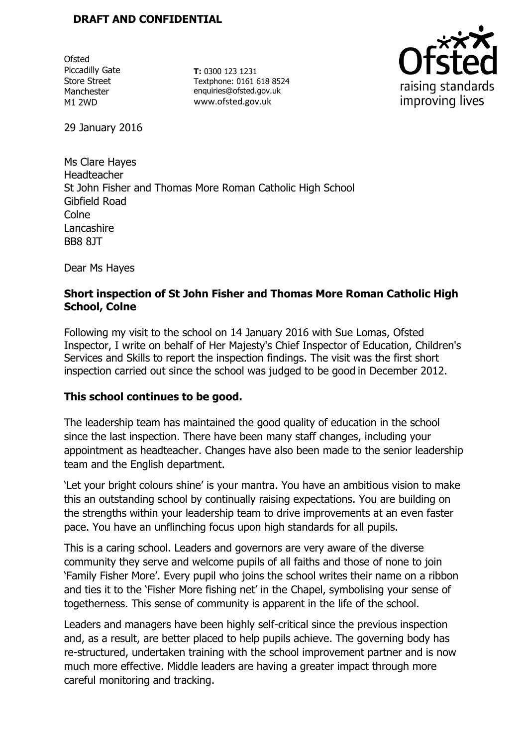**Ofsted** Piccadilly Gate Store Street Manchester M1 2WD

**T:** 0300 123 1231 Textphone: 0161 618 8524 enquiries@ofsted.gov.uk www.ofsted.gov.uk



29 January 2016

Ms Clare Hayes Headteacher St John Fisher and Thomas More Roman Catholic High School Gibfield Road **Colne** Lancashire BB8 8JT

Dear Ms Hayes

# **Short inspection of St John Fisher and Thomas More Roman Catholic High School, Colne**

Following my visit to the school on 14 January 2016 with Sue Lomas, Ofsted Inspector, I write on behalf of Her Majesty's Chief Inspector of Education, Children's Services and Skills to report the inspection findings. The visit was the first short inspection carried out since the school was judged to be good in December 2012.

# **This school continues to be good.**

The leadership team has maintained the good quality of education in the school since the last inspection. There have been many staff changes, including your appointment as headteacher. Changes have also been made to the senior leadership team and the English department.

'Let your bright colours shine' is your mantra. You have an ambitious vision to make this an outstanding school by continually raising expectations. You are building on the strengths within your leadership team to drive improvements at an even faster pace. You have an unflinching focus upon high standards for all pupils.

This is a caring school. Leaders and governors are very aware of the diverse community they serve and welcome pupils of all faiths and those of none to join 'Family Fisher More'. Every pupil who joins the school writes their name on a ribbon and ties it to the 'Fisher More fishing net' in the Chapel, symbolising your sense of togetherness. This sense of community is apparent in the life of the school.

Leaders and managers have been highly self-critical since the previous inspection and, as a result, are better placed to help pupils achieve. The governing body has re-structured, undertaken training with the school improvement partner and is now much more effective. Middle leaders are having a greater impact through more careful monitoring and tracking.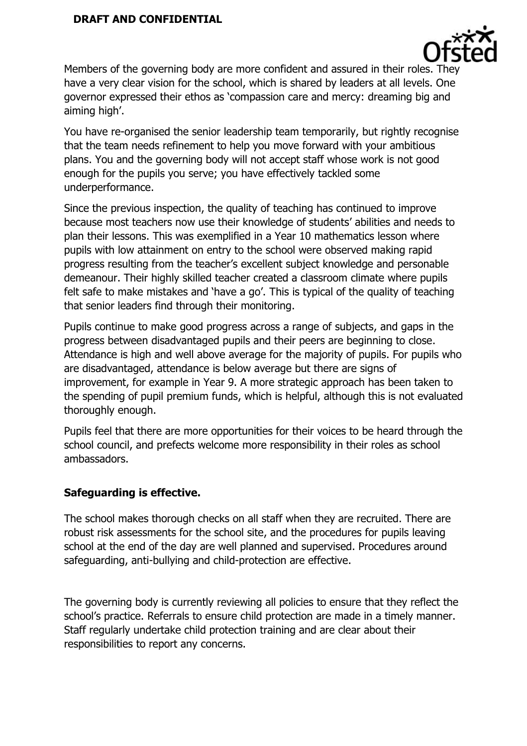

Members of the governing body are more confident and assured in their roles. They have a very clear vision for the school, which is shared by leaders at all levels. One governor expressed their ethos as 'compassion care and mercy: dreaming big and aiming high'.

You have re-organised the senior leadership team temporarily, but rightly recognise that the team needs refinement to help you move forward with your ambitious plans. You and the governing body will not accept staff whose work is not good enough for the pupils you serve; you have effectively tackled some underperformance.

Since the previous inspection, the quality of teaching has continued to improve because most teachers now use their knowledge of students' abilities and needs to plan their lessons. This was exemplified in a Year 10 mathematics lesson where pupils with low attainment on entry to the school were observed making rapid progress resulting from the teacher's excellent subject knowledge and personable demeanour. Their highly skilled teacher created a classroom climate where pupils felt safe to make mistakes and 'have a go'. This is typical of the quality of teaching that senior leaders find through their monitoring.

Pupils continue to make good progress across a range of subjects, and gaps in the progress between disadvantaged pupils and their peers are beginning to close. Attendance is high and well above average for the majority of pupils. For pupils who are disadvantaged, attendance is below average but there are signs of improvement, for example in Year 9. A more strategic approach has been taken to the spending of pupil premium funds, which is helpful, although this is not evaluated thoroughly enough.

Pupils feel that there are more opportunities for their voices to be heard through the school council, and prefects welcome more responsibility in their roles as school ambassadors.

# **Safeguarding is effective.**

The school makes thorough checks on all staff when they are recruited. There are robust risk assessments for the school site, and the procedures for pupils leaving school at the end of the day are well planned and supervised. Procedures around safeguarding, anti-bullying and child-protection are effective.

The governing body is currently reviewing all policies to ensure that they reflect the school's practice. Referrals to ensure child protection are made in a timely manner. Staff regularly undertake child protection training and are clear about their responsibilities to report any concerns.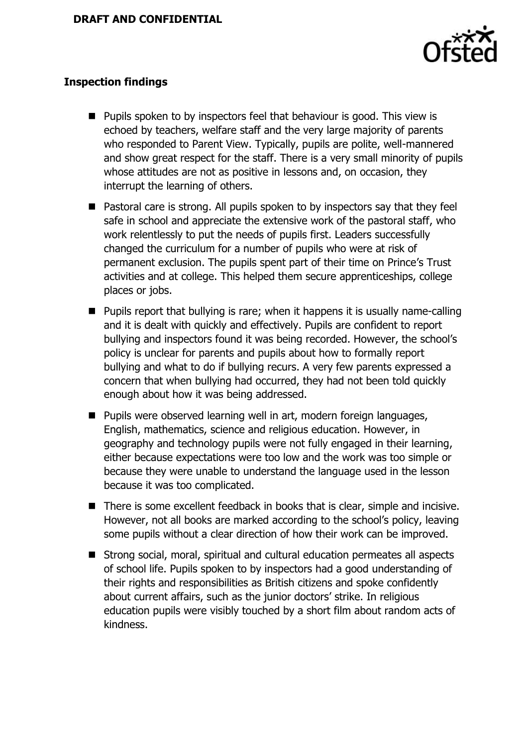

## **Inspection findings**

- Pupils spoken to by inspectors feel that behaviour is good. This view is echoed by teachers, welfare staff and the very large majority of parents who responded to Parent View. Typically, pupils are polite, well-mannered and show great respect for the staff. There is a very small minority of pupils whose attitudes are not as positive in lessons and, on occasion, they interrupt the learning of others.
- Pastoral care is strong. All pupils spoken to by inspectors say that they feel safe in school and appreciate the extensive work of the pastoral staff, who work relentlessly to put the needs of pupils first. Leaders successfully changed the curriculum for a number of pupils who were at risk of permanent exclusion. The pupils spent part of their time on Prince's Trust activities and at college. This helped them secure apprenticeships, college places or jobs.
- $\blacksquare$  Pupils report that bullying is rare; when it happens it is usually name-calling and it is dealt with quickly and effectively. Pupils are confident to report bullying and inspectors found it was being recorded. However, the school's policy is unclear for parents and pupils about how to formally report bullying and what to do if bullying recurs. A very few parents expressed a concern that when bullying had occurred, they had not been told quickly enough about how it was being addressed.
- **Pupils were observed learning well in art, modern foreign languages,** English, mathematics, science and religious education. However, in geography and technology pupils were not fully engaged in their learning, either because expectations were too low and the work was too simple or because they were unable to understand the language used in the lesson because it was too complicated.
- There is some excellent feedback in books that is clear, simple and incisive. However, not all books are marked according to the school's policy, leaving some pupils without a clear direction of how their work can be improved.
- Strong social, moral, spiritual and cultural education permeates all aspects of school life. Pupils spoken to by inspectors had a good understanding of their rights and responsibilities as British citizens and spoke confidently about current affairs, such as the junior doctors' strike. In religious education pupils were visibly touched by a short film about random acts of kindness.